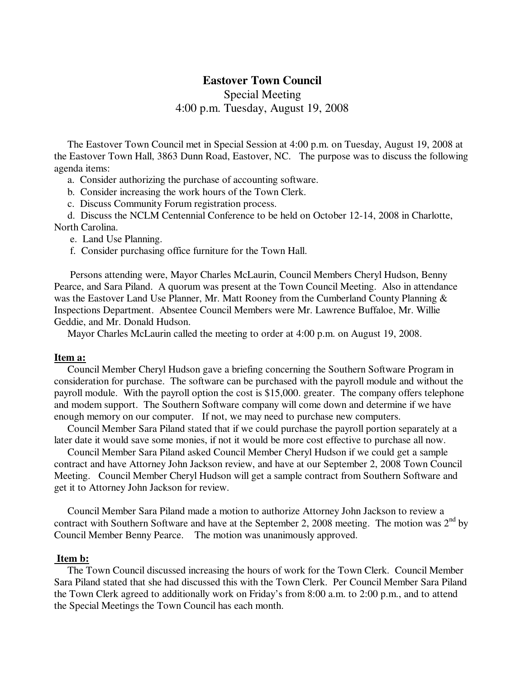# **Eastover Town Council**

Special Meeting

4:00 p.m. Tuesday, August 19, 2008

 The Eastover Town Council met in Special Session at 4:00 p.m. on Tuesday, August 19, 2008 at the Eastover Town Hall, 3863 Dunn Road, Eastover, NC. The purpose was to discuss the following agenda items:

a. Consider authorizing the purchase of accounting software.

b. Consider increasing the work hours of the Town Clerk.

c. Discuss Community Forum registration process.

 d. Discuss the NCLM Centennial Conference to be held on October 12-14, 2008 in Charlotte, North Carolina.

e. Land Use Planning.

f. Consider purchasing office furniture for the Town Hall.

 Persons attending were, Mayor Charles McLaurin, Council Members Cheryl Hudson, Benny Pearce, and Sara Piland. A quorum was present at the Town Council Meeting. Also in attendance was the Eastover Land Use Planner, Mr. Matt Rooney from the Cumberland County Planning & Inspections Department. Absentee Council Members were Mr. Lawrence Buffaloe, Mr. Willie Geddie, and Mr. Donald Hudson.

Mayor Charles McLaurin called the meeting to order at 4:00 p.m. on August 19, 2008.

## **Item a:**

 Council Member Cheryl Hudson gave a briefing concerning the Southern Software Program in consideration for purchase. The software can be purchased with the payroll module and without the payroll module. With the payroll option the cost is \$15,000. greater. The company offers telephone and modem support. The Southern Software company will come down and determine if we have enough memory on our computer. If not, we may need to purchase new computers.

 Council Member Sara Piland stated that if we could purchase the payroll portion separately at a later date it would save some monies, if not it would be more cost effective to purchase all now.

 Council Member Sara Piland asked Council Member Cheryl Hudson if we could get a sample contract and have Attorney John Jackson review, and have at our September 2, 2008 Town Council Meeting. Council Member Cheryl Hudson will get a sample contract from Southern Software and get it to Attorney John Jackson for review.

 Council Member Sara Piland made a motion to authorize Attorney John Jackson to review a contract with Southern Software and have at the September 2, 2008 meeting. The motion was  $2<sup>nd</sup>$  by Council Member Benny Pearce. The motion was unanimously approved.

## **Item b:**

 The Town Council discussed increasing the hours of work for the Town Clerk. Council Member Sara Piland stated that she had discussed this with the Town Clerk. Per Council Member Sara Piland the Town Clerk agreed to additionally work on Friday's from 8:00 a.m. to 2:00 p.m., and to attend the Special Meetings the Town Council has each month.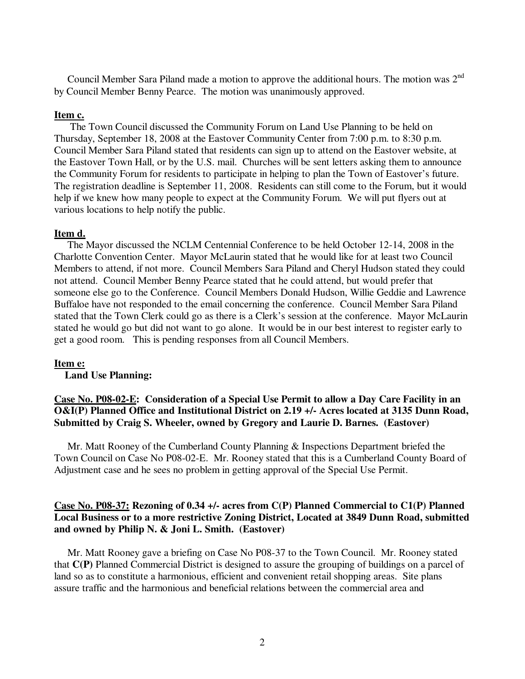Council Member Sara Piland made a motion to approve the additional hours. The motion was 2nd by Council Member Benny Pearce. The motion was unanimously approved.

### **Item c.**

 The Town Council discussed the Community Forum on Land Use Planning to be held on Thursday, September 18, 2008 at the Eastover Community Center from 7:00 p.m. to 8:30 p.m. Council Member Sara Piland stated that residents can sign up to attend on the Eastover website, at the Eastover Town Hall, or by the U.S. mail. Churches will be sent letters asking them to announce the Community Forum for residents to participate in helping to plan the Town of Eastover's future. The registration deadline is September 11, 2008. Residents can still come to the Forum, but it would help if we knew how many people to expect at the Community Forum. We will put flyers out at various locations to help notify the public.

### **Item d.**

 The Mayor discussed the NCLM Centennial Conference to be held October 12-14, 2008 in the Charlotte Convention Center. Mayor McLaurin stated that he would like for at least two Council Members to attend, if not more. Council Members Sara Piland and Cheryl Hudson stated they could not attend. Council Member Benny Pearce stated that he could attend, but would prefer that someone else go to the Conference. Council Members Donald Hudson, Willie Geddie and Lawrence Buffaloe have not responded to the email concerning the conference. Council Member Sara Piland stated that the Town Clerk could go as there is a Clerk's session at the conference. Mayor McLaurin stated he would go but did not want to go alone. It would be in our best interest to register early to get a good room. This is pending responses from all Council Members.

#### **Item e:**

### **Land Use Planning:**

## **Case No. P08-02-E: Consideration of a Special Use Permit to allow a Day Care Facility in an O&I(P) Planned Office and Institutional District on 2.19 +/- Acres located at 3135 Dunn Road, Submitted by Craig S. Wheeler, owned by Gregory and Laurie D. Barnes. (Eastover)**

Mr. Matt Rooney of the Cumberland County Planning & Inspections Department briefed the Town Council on Case No P08-02-E. Mr. Rooney stated that this is a Cumberland County Board of Adjustment case and he sees no problem in getting approval of the Special Use Permit.

## **Case No. P08-37: Rezoning of 0.34 +/- acres from C(P) Planned Commercial to C1(P) Planned Local Business or to a more restrictive Zoning District, Located at 3849 Dunn Road, submitted and owned by Philip N. & Joni L. Smith. (Eastover)**

 Mr. Matt Rooney gave a briefing on Case No P08-37 to the Town Council. Mr. Rooney stated that **C(P)** Planned Commercial District is designed to assure the grouping of buildings on a parcel of land so as to constitute a harmonious, efficient and convenient retail shopping areas. Site plans assure traffic and the harmonious and beneficial relations between the commercial area and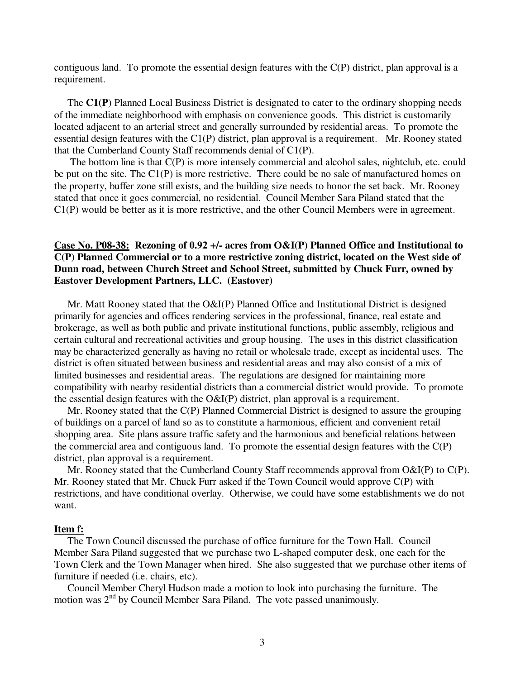contiguous land. To promote the essential design features with the C(P) district, plan approval is a requirement.

 The **C1(P**) Planned Local Business District is designated to cater to the ordinary shopping needs of the immediate neighborhood with emphasis on convenience goods. This district is customarily located adjacent to an arterial street and generally surrounded by residential areas. To promote the essential design features with the C1(P) district, plan approval is a requirement. Mr. Rooney stated that the Cumberland County Staff recommends denial of C1(P).

 The bottom line is that C(P) is more intensely commercial and alcohol sales, nightclub, etc. could be put on the site. The C1(P) is more restrictive. There could be no sale of manufactured homes on the property, buffer zone still exists, and the building size needs to honor the set back. Mr. Rooney stated that once it goes commercial, no residential. Council Member Sara Piland stated that the C1(P) would be better as it is more restrictive, and the other Council Members were in agreement.

## **Case No. P08-38: Rezoning of 0.92 +/- acres from O&I(P) Planned Office and Institutional to C(P) Planned Commercial or to a more restrictive zoning district, located on the West side of Dunn road, between Church Street and School Street, submitted by Chuck Furr, owned by Eastover Development Partners, LLC. (Eastover)**

 Mr. Matt Rooney stated that the O&I(P) Planned Office and Institutional District is designed primarily for agencies and offices rendering services in the professional, finance, real estate and brokerage, as well as both public and private institutional functions, public assembly, religious and certain cultural and recreational activities and group housing. The uses in this district classification may be characterized generally as having no retail or wholesale trade, except as incidental uses. The district is often situated between business and residential areas and may also consist of a mix of limited businesses and residential areas. The regulations are designed for maintaining more compatibility with nearby residential districts than a commercial district would provide. To promote the essential design features with the  $O&I(P)$  district, plan approval is a requirement.

 Mr. Rooney stated that the C(P) Planned Commercial District is designed to assure the grouping of buildings on a parcel of land so as to constitute a harmonious, efficient and convenient retail shopping area. Site plans assure traffic safety and the harmonious and beneficial relations between the commercial area and contiguous land. To promote the essential design features with the C(P) district, plan approval is a requirement.

Mr. Rooney stated that the Cumberland County Staff recommends approval from  $O&I(P)$  to  $C(P)$ . Mr. Rooney stated that Mr. Chuck Furr asked if the Town Council would approve C(P) with restrictions, and have conditional overlay. Otherwise, we could have some establishments we do not want.

#### **Item f:**

 The Town Council discussed the purchase of office furniture for the Town Hall. Council Member Sara Piland suggested that we purchase two L-shaped computer desk, one each for the Town Clerk and the Town Manager when hired. She also suggested that we purchase other items of furniture if needed (i.e. chairs, etc).

 Council Member Cheryl Hudson made a motion to look into purchasing the furniture. The motion was  $2<sup>nd</sup>$  by Council Member Sara Piland. The vote passed unanimously.